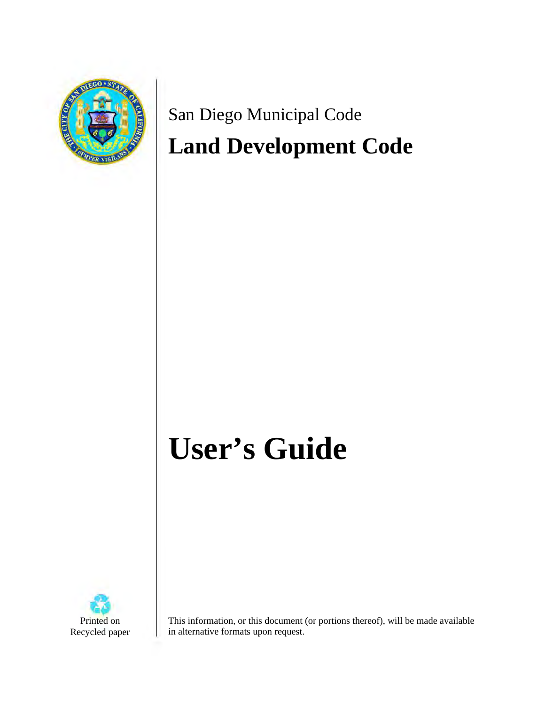

## San Diego Municipal Code **Land Development Code**

# **User's Guide**



Printed on This information, or this document (or portions thereof), will be made available Recycled paper in alternative formats upon request.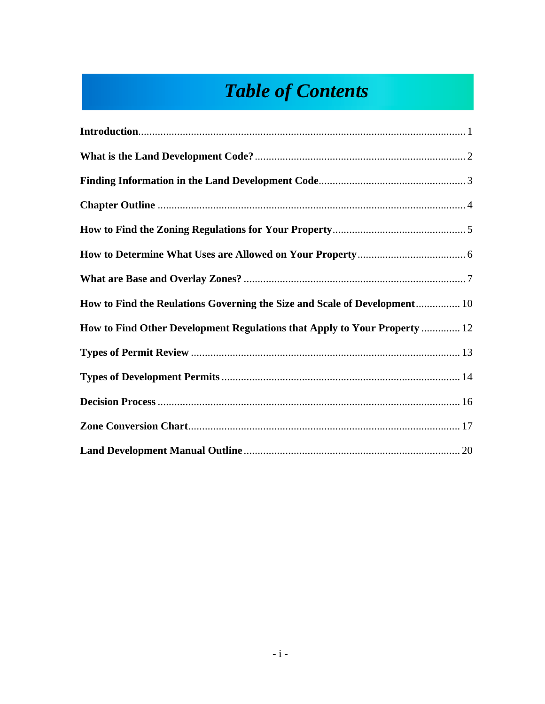## *Table of Contents*

| How to Find the Reulations Governing the Size and Scale of Development 10 |
|---------------------------------------------------------------------------|
| How to Find Other Development Regulations that Apply to Your Property  12 |
|                                                                           |
|                                                                           |
|                                                                           |
|                                                                           |
|                                                                           |
|                                                                           |
|                                                                           |
|                                                                           |
|                                                                           |
|                                                                           |
|                                                                           |
|                                                                           |
| $-i-$                                                                     |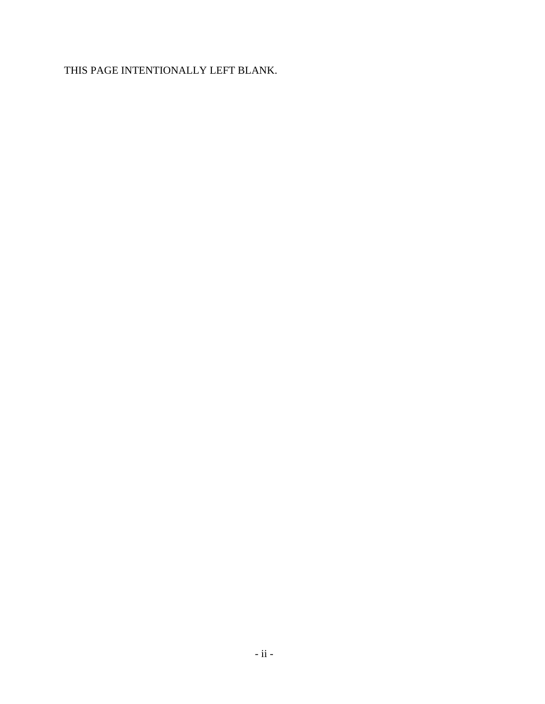THIS PAGE INTENTIONALLY LEFT BLANK.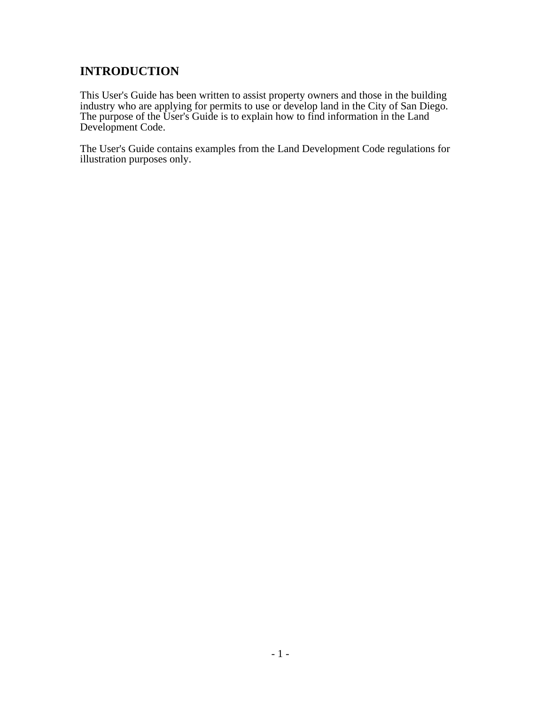#### **INTRODUCTION**

This User's Guide has been written to assist property owners and those in the building industry who are applying for permits to use or develop land in the City of San Diego. The purpose of the User's Guide is to explain how to find information in the Land Development Code.

The User's Guide contains examples from the Land Development Code regulations for illustration purposes only.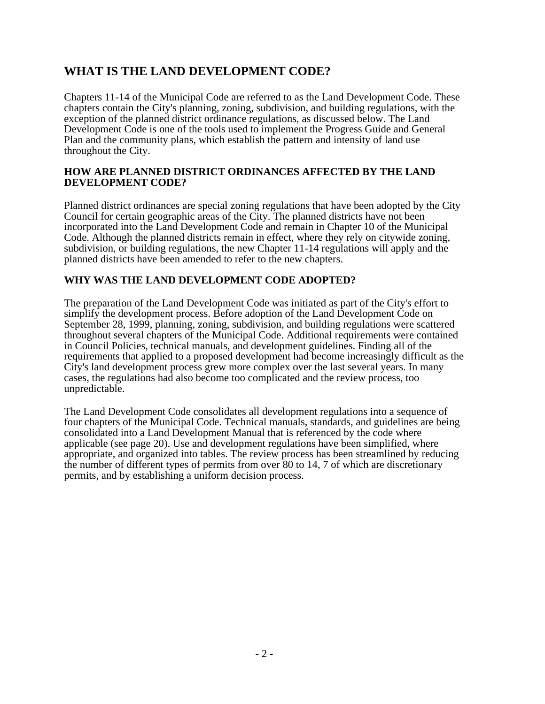#### **WHAT IS THE LAND DEVELOPMENT CODE?**

Chapters 11-14 of the Municipal Code are referred to as the Land Development Code. These chapters contain the City's planning, zoning, subdivision, and building regulations, with the exception of the planned district ordinance regulations, as discussed below. The Land Development Code is one of the tools used to implement the Progress Guide and General Plan and the community plans, which establish the pattern and intensity of land use throughout the City.

#### **HOW ARE PLANNED DISTRICT ORDINANCES AFFECTED BY THE LAND DEVELOPMENT CODE?**

Planned district ordinances are special zoning regulations that have been adopted by the City Council for certain geographic areas of the City. The planned districts have not been incorporated into the Land Development Code and remain in Chapter 10 of the Municipal Code. Although the planned districts remain in effect, where they rely on citywide zoning, subdivision, or building regulations, the new Chapter 11-14 regulations will apply and the planned districts have been amended to refer to the new chapters.

#### **WHY WAS THE LAND DEVELOPMENT CODE ADOPTED?**

The preparation of the Land Development Code was initiated as part of the City's effort to simplify the development process. Before adoption of the Land Development Code on September 28, 1999, planning, zoning, subdivision, and building regulations were scattered throughout several chapters of the Municipal Code. Additional requirements were contained in Council Policies, technical manuals, and development guidelines. Finding all of the requirements that applied to a proposed development had become increasingly difficult as the City's land development process grew more complex over the last several years. In many cases, the regulations had also become too complicated and the review process, too unpredictable.

The Land Development Code consolidates all development regulations into a sequence of four chapters of the Municipal Code. Technical manuals, standards, and guidelines are being consolidated into a Land Development Manual that is referenced by the code where applicable (see page 20). Use and development regulations have been simplified, where appropriate, and organized into tables. The review process has been streamlined by reducing the number of different types of permits from over 80 to 14, 7 of which are discretionary permits, and by establishing a uniform decision process.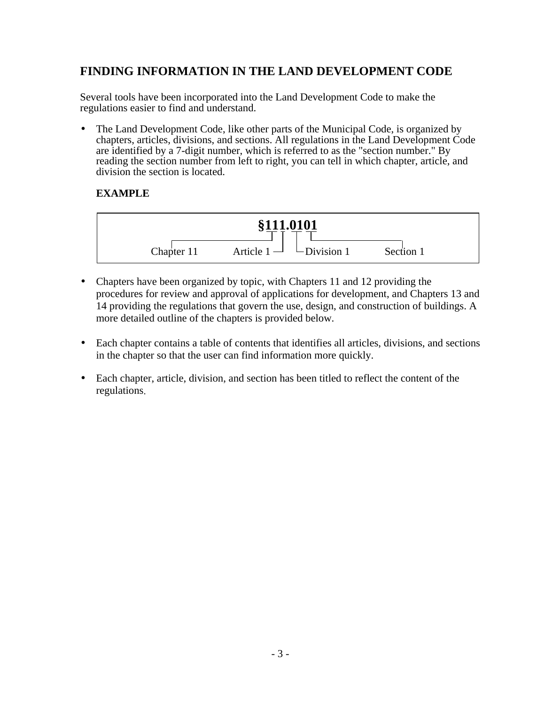#### **FINDING INFORMATION IN THE LAND DEVELOPMENT CODE**

Several tools have been incorporated into the Land Development Code to make the regulations easier to find and understand.

•The Land Development Code, like other parts of the Municipal Code, is organized by chapters, articles, divisions, and sections. All regulations in the Land Development Code are identified by a 7-digit number, which is referred to as the "section number." By reading the section number from left to right, you can tell in which chapter, article, and division the section is located.

#### **EXAMPLE**



- •Chapters have been organized by topic, with Chapters 11 and 12 providing the procedures for review and approval of applications for development, and Chapters 13 and 14 providing the regulations that govern the use, design, and construction of buildings. A more detailed outline of the chapters is provided below.
- •Each chapter contains a table of contents that identifies all articles, divisions, and sections in the chapter so that the user can find information more quickly.
- •Each chapter, article, division, and section has been titled to reflect the content of the regulations.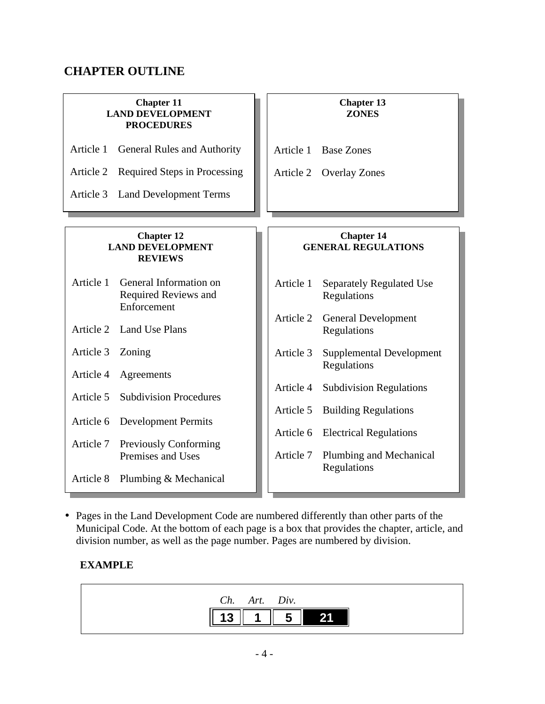|           | <b>CHAPTER OUTLINE</b>                                               |           |                                                 |
|-----------|----------------------------------------------------------------------|-----------|-------------------------------------------------|
|           | <b>Chapter 11</b><br><b>LAND DEVELOPMENT</b><br><b>PROCEDURES</b>    |           | <b>Chapter 13</b><br><b>ZONES</b>               |
| Article 1 | General Rules and Authority                                          | Article 1 | <b>Base Zones</b>                               |
| Article 2 | Required Steps in Processing                                         | Article 2 | <b>Overlay Zones</b>                            |
| Article 3 | <b>Land Development Terms</b>                                        |           |                                                 |
|           |                                                                      |           |                                                 |
|           | <b>Chapter 12</b><br><b>LAND DEVELOPMENT</b><br><b>REVIEWS</b>       |           | <b>Chapter 14</b><br><b>GENERAL REGULATIONS</b> |
| Article 1 | General Information on<br><b>Required Reviews and</b><br>Enforcement | Article 1 | <b>Separately Regulated Use</b><br>Regulations  |
| Article 2 | <b>Land Use Plans</b>                                                | Article 2 | <b>General Development</b><br>Regulations       |
| Article 3 | Zoning                                                               | Article 3 | <b>Supplemental Development</b><br>Regulations  |
| Article 4 | Agreements                                                           |           |                                                 |
| Article 5 | <b>Subdivision Procedures</b>                                        | Article 4 | <b>Subdivision Regulations</b>                  |
| Article 6 | <b>Development Permits</b>                                           | Article 5 | <b>Building Regulations</b>                     |
|           |                                                                      | Article 6 | <b>Electrical Regulations</b>                   |
| Article 7 | <b>Previously Conforming</b><br>Premises and Uses                    | Article 7 | Plumbing and Mechanical<br>Regulations          |
| Article 8 | Plumbing & Mechanical                                                |           |                                                 |

 •Pages in the Land Development Code are numbered differently than other parts of the Municipal Code. At the bottom of each page is a box that provides the chapter, article, and division number, as well as the page number. Pages are numbered by division.

#### **EXAMPLE**

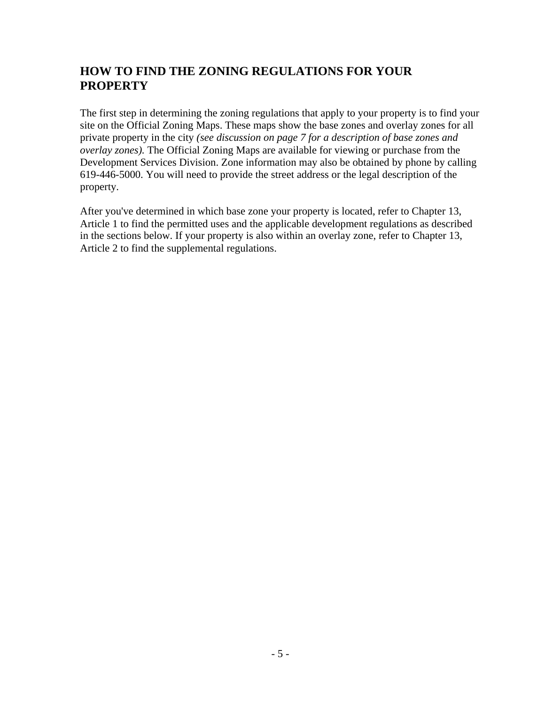### **HOW TO FIND THE ZONING REGULATIONS FOR YOUR PROPERTY**

The first step in determining the zoning regulations that apply to your property is to find your site on the Official Zoning Maps. These maps show the base zones and overlay zones for all private property in the city *(see discussion on page 7 for a description of base zones and overlay zones).* The Official Zoning Maps are available for viewing or purchase from the Development Services Division. Zone information may also be obtained by phone by calling 619-446-5000. You will need to provide the street address or the legal description of the property.

After you've determined in which base zone your property is located, refer to Chapter 13, Article 1 to find the permitted uses and the applicable development regulations as described in the sections below. If your property is also within an overlay zone, refer to Chapter 13, Article 2 to find the supplemental regulations.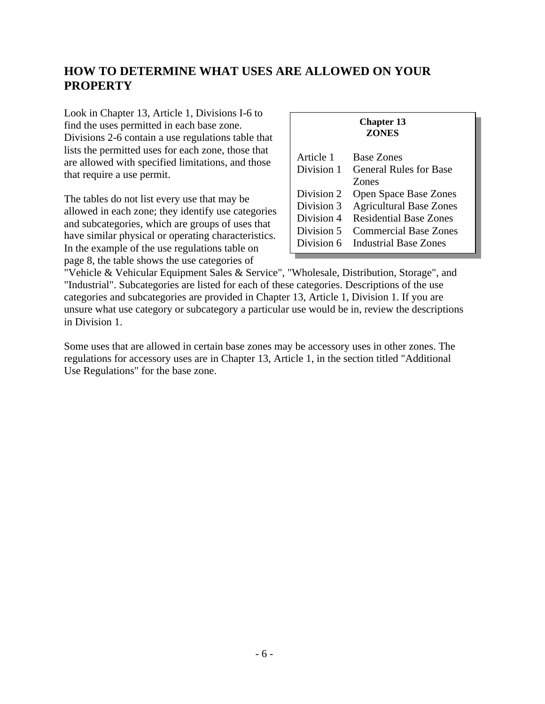#### **HOW TO DETERMINE WHAT USES ARE ALLOWED ON YOUR PROPERTY**

Look in Chapter 13, Article 1, Divisions I-6 to find the uses permitted in each base zone.<br> **Chapter 13**<br> **CONES** Divisions 2-6 contain a use regulations table that lists the permitted uses for each zone, those that are allowed with specified limitations, and those that require a use permit.

The tables do not list every use that may be allowed in each zone; they identify use categories and subcategories, which are groups of uses that have similar physical or operating characteristics. In the example of the use regulations table on page 8, the table shows the use categories of

| Article 1<br>Division 1 | <b>Base Zones</b><br><b>General Rules for Base</b><br>Zones |
|-------------------------|-------------------------------------------------------------|
| Division 2              | <b>Open Space Base Zones</b>                                |
| Division 3              | <b>Agricultural Base Zones</b>                              |
| Division 4              | <b>Residential Base Zones</b>                               |
| Division 5              | <b>Commercial Base Zones</b>                                |
| Division 6              | <b>Industrial Base Zones</b>                                |

"Vehicle & Vehicular Equipment Sales & Service", "Wholesale, Distribution, Storage", and "Industrial". Subcategories are listed for each of these categories. Descriptions of the use categories and subcategories are provided in Chapter 13, Article 1, Division 1. If you are unsure what use category or subcategory a particular use would be in, review the descriptions in Division 1.

Some uses that are allowed in certain base zones may be accessory uses in other zones. The regulations for accessory uses are in Chapter 13, Article 1, in the section titled "Additional Use Regulations" for the base zone.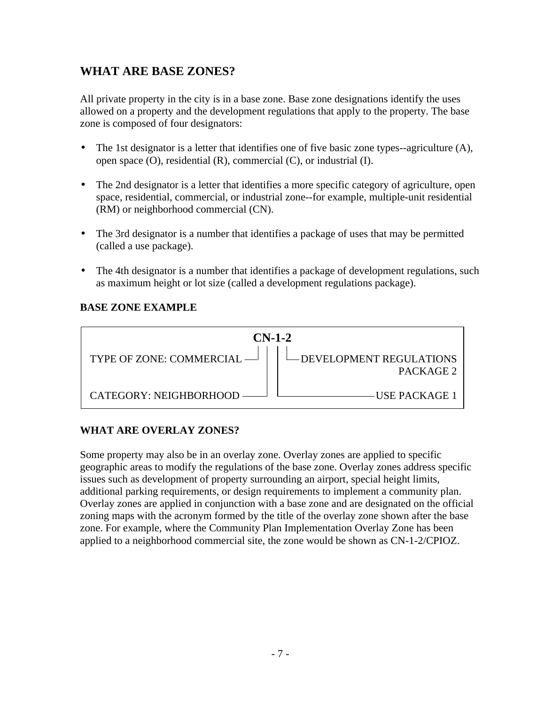#### **WHAT ARE BASE ZONES?**

All private property in the city is in a base zone. Base zone designations identify the uses allowed on a property and the development regulations that apply to the property. The base zone is composed of four designators:

- The 1st designator is a letter that identifies one of five basic zone types--agriculture  $(A)$ , open space (O), residential (R), commercial (C), or industrial (I).
- •The 2nd designator is a letter that identifies a more specific category of agriculture, open space, residential, commercial, or industrial zone--for example, multiple-unit residential (RM) or neighborhood commercial (CN).
- •The 3rd designator is a number that identifies a package of uses that may be permitted (called a use package).
- •The 4th designator is a number that identifies a package of development regulations, such as maximum height or lot size (called a development regulations package).

#### **BASE ZONE EXAMPLE**



#### **WHAT ARE OVERLAY ZONES?**

Some property may also be in an overlay zone. Overlay zones are applied to specific geographic areas to modify the regulations of the base zone. Overlay zones address specific issues such as development of property surrounding an airport, special height limits, additional parking requirements, or design requirements to implement a community plan. Overlay zones are applied in conjunction with a base zone and are designated on the official zoning maps with the acronym formed by the title of the overlay zone shown after the base zone. For example, where the Community Plan Implementation Overlay Zone has been applied to a neighborhood commercial site, the zone would be shown as CN-1-2/CPIOZ.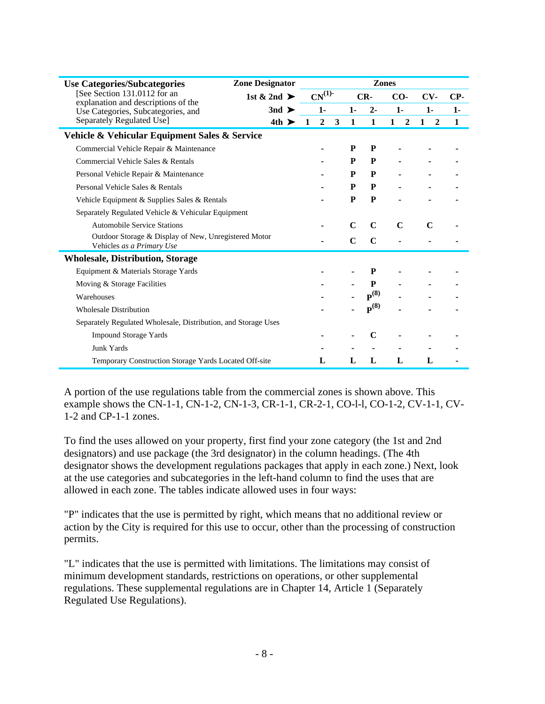| <b>Use Categories/Subcategories</b>                                               | <b>Zone Designator</b>          |   |              |   |              |                    | <b>Zones</b>                 |                              |              |
|-----------------------------------------------------------------------------------|---------------------------------|---|--------------|---|--------------|--------------------|------------------------------|------------------------------|--------------|
| [See Section 131.0112 for an                                                      | 1st & 2nd $\blacktriangleright$ |   | $CN^{(1)}$   |   |              | $CR-$              | CO-                          | $CV-$                        | $CP-$        |
| explanation and descriptions of the<br>Use Categories, Subcategories, and         | $3nd$ $\blacktriangleright$     |   | $1-$         |   | $1-$         | $2 -$              | 1-                           | $1-$                         | $1-$         |
| Separately Regulated Use]                                                         | 4th                             | 1 | $\mathbf{2}$ | 3 | $\mathbf{1}$ | $\mathbf{1}$       | $\mathbf{1}$<br>$\mathbf{2}$ | $\mathbf{1}$<br>$\mathbf{2}$ | $\mathbf{1}$ |
| Vehicle & Vehicular Equipment Sales & Service                                     |                                 |   |              |   |              |                    |                              |                              |              |
| Commercial Vehicle Repair & Maintenance                                           |                                 |   |              |   | $\mathbf{P}$ | P                  |                              |                              |              |
| Commercial Vehicle Sales & Rentals                                                |                                 |   |              |   | P            | P                  |                              |                              |              |
| Personal Vehicle Repair & Maintenance                                             |                                 |   |              |   | P            | P                  |                              |                              |              |
| Personal Vehicle Sales & Rentals                                                  |                                 |   |              |   | P            | P                  |                              |                              |              |
| Vehicle Equipment & Supplies Sales & Rentals                                      |                                 |   |              |   | P            | P                  |                              |                              |              |
| Separately Regulated Vehicle & Vehicular Equipment                                |                                 |   |              |   |              |                    |                              |                              |              |
| <b>Automobile Service Stations</b>                                                |                                 |   |              |   | $\mathbf C$  | $\mathbf C$        | $\mathbf C$                  | $\mathbf C$                  |              |
| Outdoor Storage & Display of New, Unregistered Motor<br>Vehicles as a Primary Use |                                 |   |              |   | $\mathbf C$  | $\mathbf C$        |                              |                              |              |
| <b>Wholesale, Distribution, Storage</b>                                           |                                 |   |              |   |              |                    |                              |                              |              |
| Equipment & Materials Storage Yards                                               |                                 |   |              |   |              | P                  |                              |                              |              |
| Moving & Storage Facilities                                                       |                                 |   |              |   |              | P                  |                              |                              |              |
| Warehouses                                                                        |                                 |   |              |   |              | $\mathbf{P}^{(8)}$ |                              |                              |              |
| <b>Wholesale Distribution</b>                                                     |                                 |   |              |   |              | ${\bf P}^{(8)}$    |                              |                              |              |
| Separately Regulated Wholesale, Distribution, and Storage Uses                    |                                 |   |              |   |              |                    |                              |                              |              |
| <b>Impound Storage Yards</b>                                                      |                                 |   |              |   |              | $\mathbf C$        |                              |                              |              |
| <b>Junk Yards</b>                                                                 |                                 |   |              |   |              |                    |                              |                              |              |
| Temporary Construction Storage Yards Located Off-site                             |                                 |   | L            |   | L            | L                  | L                            | L                            |              |

A portion of the use regulations table from the commercial zones is shown above. This example shows the CN-1-1, CN-1-2, CN-1-3, CR-1-1, CR-2-1, CO-l-l, CO-1-2, CV-1-1, CV-1-2 and CP-1-1 zones.

To find the uses allowed on your property, first find your zone category (the 1st and 2nd designators) and use package (the 3rd designator) in the column headings. (The 4th designator shows the development regulations packages that apply in each zone.) Next, look at the use categories and subcategories in the left-hand column to find the uses that are allowed in each zone. The tables indicate allowed uses in four ways:

"P" indicates that the use is permitted by right, which means that no additional review or action by the City is required for this use to occur, other than the processing of construction permits.

"L" indicates that the use is permitted with limitations. The limitations may consist of minimum development standards, restrictions on operations, or other supplemental regulations. These supplemental regulations are in Chapter 14, Article 1 (Separately Regulated Use Regulations).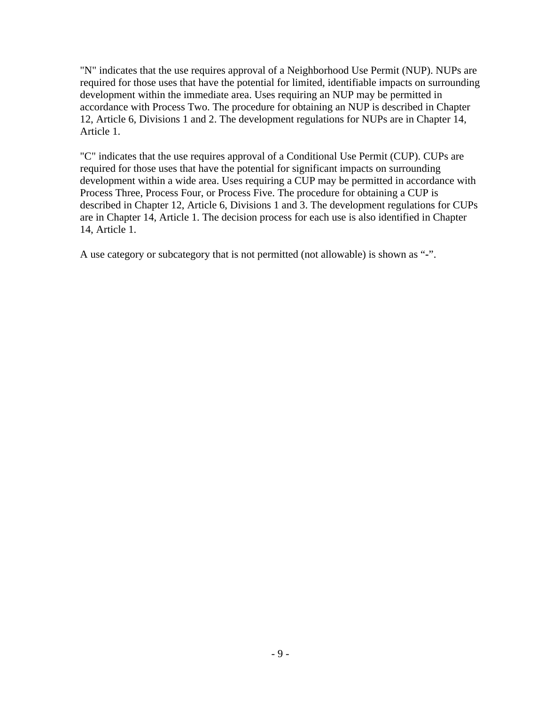"N" indicates that the use requires approval of a Neighborhood Use Permit (NUP). NUPs are required for those uses that have the potential for limited, identifiable impacts on surrounding development within the immediate area. Uses requiring an NUP may be permitted in accordance with Process Two. The procedure for obtaining an NUP is described in Chapter 12, Article 6, Divisions 1 and 2. The development regulations for NUPs are in Chapter 14, Article 1.

"C" indicates that the use requires approval of a Conditional Use Permit (CUP). CUPs are required for those uses that have the potential for significant impacts on surrounding development within a wide area. Uses requiring a CUP may be permitted in accordance with Process Three, Process Four, or Process Five. The procedure for obtaining a CUP is described in Chapter 12, Article 6, Divisions 1 and 3. The development regulations for CUPs are in Chapter 14, Article 1. The decision process for each use is also identified in Chapter 14, Article 1.

A use category or subcategory that is not permitted (not allowable) is shown as "**-**".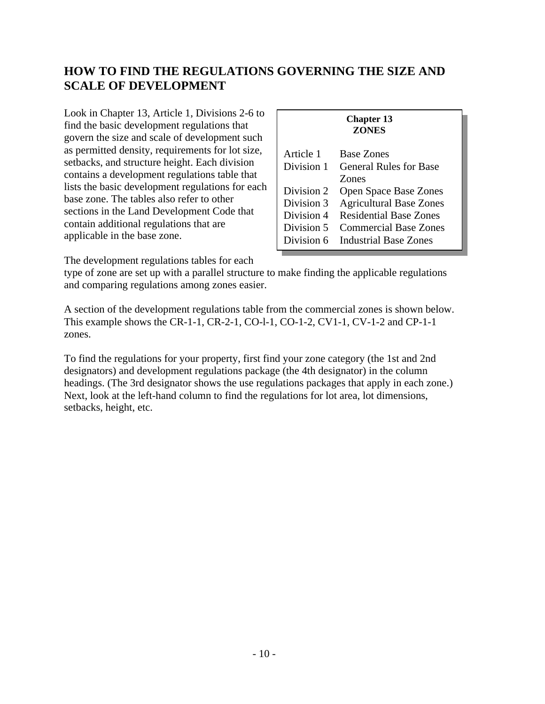#### **HOW TO FIND THE REGULATIONS GOVERNING THE SIZE AND SCALE OF DEVELOPMENT**

Look in Chapter 13, Article 1, Divisions 2-6 to find the basic development regulations that govern the size and scale of development such as permitted density, requirements for lot size, setbacks, and structure height. Each division contains a development regulations table that lists the basic development regulations for each base zone. The tables also refer to other sections in the Land Development Code that contain additional regulations that are applicable in the base zone.

### **Chapter 13 ZONES**

| Article 1  | <b>Base Zones</b>                |
|------------|----------------------------------|
| Division 1 | <b>General Rules for Base</b>    |
|            | Zones                            |
| Division 2 | <b>Open Space Base Zones</b>     |
| Division 3 | <b>Agricultural Base Zones</b>   |
| Division 4 | <b>Residential Base Zones</b>    |
| Division 5 | <b>Commercial Base Zones</b>     |
|            | Division 6 Industrial Base Zones |

The development regulations tables for each

type of zone are set up with a parallel structure to make finding the applicable regulations and comparing regulations among zones easier.

A section of the development regulations table from the commercial zones is shown below. This example shows the CR-1-1, CR-2-1, CO-l-1, CO-1-2, CV1-1, CV-1-2 and CP-1-1 zones.

To find the regulations for your property, first find your zone category (the 1st and 2nd designators) and development regulations package (the 4th designator) in the column headings. (The 3rd designator shows the use regulations packages that apply in each zone.) Next, look at the left-hand column to find the regulations for lot area, lot dimensions, setbacks, height, etc.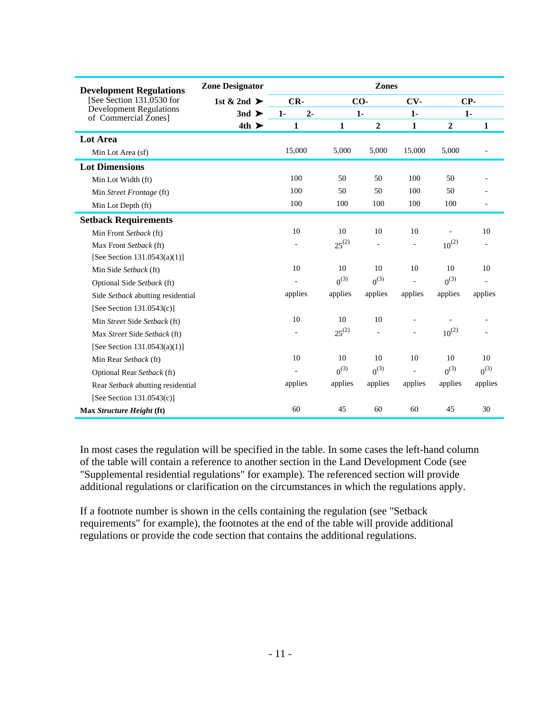| <b>Development Regulations</b>                         | <b>Zone Designator</b>          | <b>Zones</b>  |              |                          |                |              |           |  |
|--------------------------------------------------------|---------------------------------|---------------|--------------|--------------------------|----------------|--------------|-----------|--|
| [See Section 131.0530 for                              | 1st & 2nd $\blacktriangleright$ | CR-           |              | CO-                      | CV-            |              | CP-       |  |
| <b>Development Regulations</b><br>of Commercial Zones] | 3nd $\blacktriangleright$       | $2-$<br>$1 -$ |              | $1 -$                    | $1 -$          |              | $1 -$     |  |
|                                                        | 4th                             | $\mathbf{1}$  | $\mathbf{1}$ | $\overline{2}$           | 1              | $\mathbf{2}$ | 1         |  |
| <b>Lot Area</b>                                        |                                 |               |              |                          |                |              |           |  |
| Min Lot Area (sf)                                      |                                 | 15,000        | 5,000        | 5,000                    | 15,000         | 5,000        |           |  |
| <b>Lot Dimensions</b>                                  |                                 |               |              |                          |                |              |           |  |
| Min Lot Width (ft)                                     |                                 | 100           | 50           | 50                       | 100            | 50           |           |  |
| Min Street Frontage (ft)                               |                                 | 100           | 50           | 50                       | 100            | 50           |           |  |
| Min Lot Depth (ft)                                     |                                 | 100           | 100          | 100                      | 100            | 100          |           |  |
| <b>Setback Requirements</b>                            |                                 |               |              |                          |                |              |           |  |
| Min Front Setback (ft)                                 |                                 | 10            | 10           | 10                       | 10             |              | 10        |  |
| Max Front Setback (ft)                                 |                                 |               | $25^{(2)}$   | $\overline{\phantom{a}}$ | $\blacksquare$ | $10^{(2)}$   |           |  |
| [See Section $131.0543(a)(1)$ ]                        |                                 |               |              |                          |                |              |           |  |
| Min Side Setback (ft)                                  |                                 | 10            | 10           | 10                       | 10             | 10           | 10        |  |
| Optional Side Setback (ft)                             |                                 |               | $0^{(3)}$    | $0^{(3)}$                |                | $0^{(3)}$    |           |  |
| Side Setback abutting residential                      |                                 | applies       | applies      | applies                  | applies        | applies      | applies   |  |
| [See Section $131.0543(c)$ ]                           |                                 |               |              |                          |                |              |           |  |
| Min Street Side Setback (ft)                           |                                 | 10            | 10           | 10                       |                |              |           |  |
| Max Street Side Setback (ft)                           |                                 |               | $25^{(2)}$   | $\overline{a}$           | $\blacksquare$ | $10^{(2)}$   |           |  |
| [See Section 131.0543(a)(1)]                           |                                 |               |              |                          |                |              |           |  |
| Min Rear Setback (ft)                                  |                                 | 10            | 10           | 10                       | 10             | 10           | 10        |  |
| Optional Rear Setback (ft)                             |                                 |               | $0^{(3)}$    | $0^{(3)}$                |                | $0^{(3)}$    | $0^{(3)}$ |  |
| Rear Setback abutting residential                      |                                 | applies       | applies      | applies                  | applies        | applies      | applies   |  |
| [See Section $131.0543(c)$ ]                           |                                 |               |              |                          |                |              |           |  |
| Max Structure Height (ft)                              |                                 | 60            | 45           | 60                       | 60             | 45           | 30        |  |

In most cases the regulation will be specified in the table. In some cases the left-hand column of the table will contain a reference to another section in the Land Development Code (see "Supplemental residential regulations" for example). The referenced section will provide additional regulations or clarification on the circumstances in which the regulations apply.

If a footnote number is shown in the cells containing the regulation (see "Setback requirements" for example), the footnotes at the end of the table will provide additional regulations or provide the code section that contains the additional regulations.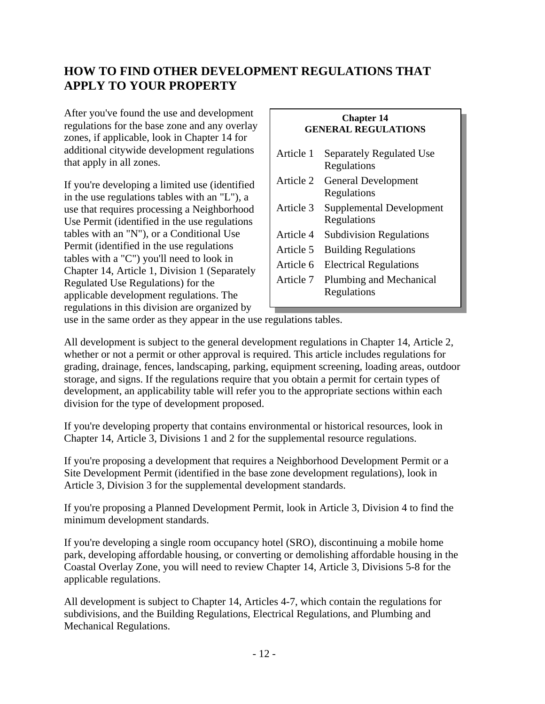#### **HOW TO FIND OTHER DEVELOPMENT REGULATIONS THAT APPLY TO YOUR PROPERTY**

After you've found the use and development regulations for the base zone and any overlay zones, if applicable, look in Chapter 14 for additional citywide development regulations that apply in all zones.

If you're developing a limited use (identified in the use regulations tables with an "L"), a use that requires processing a Neighborhood Use Permit (identified in the use regulations tables with an "N"), or a Conditional Use Permit (identified in the use regulations tables with a "C") you'll need to look in<br>Chapter 14, Article 1, Division 1 (Separately Regulated Use Regulations) for the applicable development regulations. The regulations in this division are organized by

| <b>Chapter 14</b><br><b>GENERAL REGULATIONS</b> |                                           |  |
|-------------------------------------------------|-------------------------------------------|--|
| Article 1                                       | Separately Regulated Use<br>Regulations   |  |
| Article 2                                       | <b>General Development</b><br>Regulations |  |
| Article 3                                       | Supplemental Development<br>Regulations   |  |
| Article 4                                       | <b>Subdivision Regulations</b>            |  |
| Article 5                                       | <b>Building Regulations</b>               |  |
| Article 6                                       | <b>Electrical Regulations</b>             |  |
| Article 7                                       | Plumbing and Mechanical<br>Regulations    |  |

use in the same order as they appear in the use regulations tables.

All development is subject to the general development regulations in Chapter 14, Article 2, whether or not a permit or other approval is required. This article includes regulations for grading, drainage, fences, landscaping, parking, equipment screening, loading areas, outdoor storage, and signs. If the regulations require that you obtain a permit for certain types of development, an applicability table will refer you to the appropriate sections within each division for the type of development proposed.

If you're developing property that contains environmental or historical resources, look in Chapter 14, Article 3, Divisions 1 and 2 for the supplemental resource regulations.

If you're proposing a development that requires a Neighborhood Development Permit or a Site Development Permit (identified in the base zone development regulations), look in Article 3, Division 3 for the supplemental development standards.

If you're proposing a Planned Development Permit, look in Article 3, Division 4 to find the minimum development standards.

If you're developing a single room occupancy hotel (SRO), discontinuing a mobile home park, developing affordable housing, or converting or demolishing affordable housing in the Coastal Overlay Zone, you will need to review Chapter 14, Article 3, Divisions 5-8 for the applicable regulations.

All development is subject to Chapter 14, Articles 4-7, which contain the regulations for subdivisions, and the Building Regulations, Electrical Regulations, and Plumbing and Mechanical Regulations.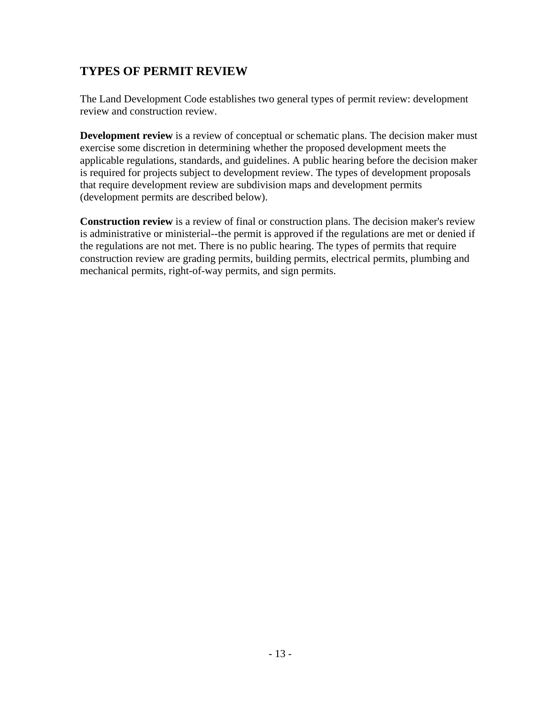#### **TYPES OF PERMIT REVIEW**

The Land Development Code establishes two general types of permit review: development review and construction review.

**Development review** is a review of conceptual or schematic plans. The decision maker must exercise some discretion in determining whether the proposed development meets the applicable regulations, standards, and guidelines. A public hearing before the decision maker is required for projects subject to development review. The types of development proposals that require development review are subdivision maps and development permits (development permits are described below).

**Construction review** is a review of final or construction plans. The decision maker's review is administrative or ministerial--the permit is approved if the regulations are met or denied if the regulations are not met. There is no public hearing. The types of permits that require construction review are grading permits, building permits, electrical permits, plumbing and mechanical permits, right-of-way permits, and sign permits.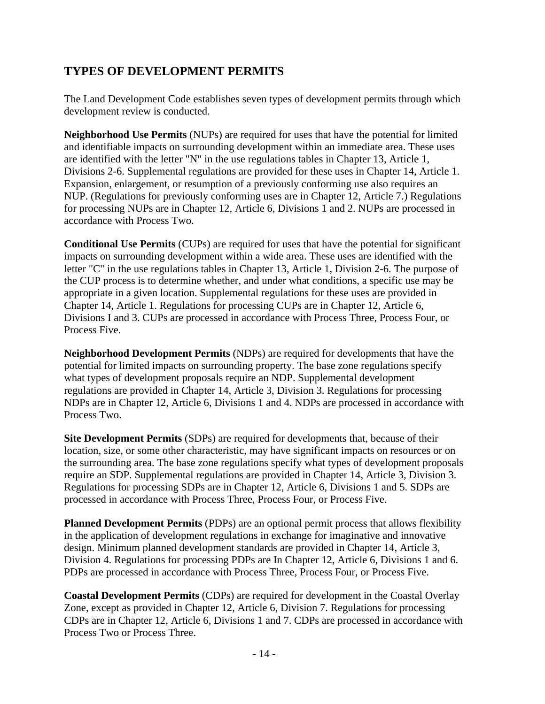#### **TYPES OF DEVELOPMENT PERMITS**

The Land Development Code establishes seven types of development permits through which development review is conducted.

**Neighborhood Use Permits** (NUPs) are required for uses that have the potential for limited and identifiable impacts on surrounding development within an immediate area. These uses are identified with the letter "N" in the use regulations tables in Chapter 13, Article 1, Divisions 2-6. Supplemental regulations are provided for these uses in Chapter 14, Article 1. Expansion, enlargement, or resumption of a previously conforming use also requires an NUP. (Regulations for previously conforming uses are in Chapter 12, Article 7.) Regulations for processing NUPs are in Chapter 12, Article 6, Divisions 1 and 2. NUPs are processed in accordance with Process Two.

**Conditional Use Permits** (CUPs) are required for uses that have the potential for significant impacts on surrounding development within a wide area. These uses are identified with the letter "C" in the use regulations tables in Chapter 13, Article 1, Division 2-6. The purpose of the CUP process is to determine whether, and under what conditions, a specific use may be appropriate in a given location. Supplemental regulations for these uses are provided in Chapter 14, Article 1. Regulations for processing CUPs are in Chapter 12, Article 6, Divisions I and 3. CUPs are processed in accordance with Process Three, Process Four, or Process Five.

**Neighborhood Development Permits** (NDPs) are required for developments that have the potential for limited impacts on surrounding property. The base zone regulations specify what types of development proposals require an NDP. Supplemental development regulations are provided in Chapter 14, Article 3, Division 3. Regulations for processing NDPs are in Chapter 12, Article 6, Divisions 1 and 4. NDPs are processed in accordance with Process Two.

**Site Development Permits** (SDPs) are required for developments that, because of their location, size, or some other characteristic, may have significant impacts on resources or on the surrounding area. The base zone regulations specify what types of development proposals require an SDP. Supplemental regulations are provided in Chapter 14, Article 3, Division 3. Regulations for processing SDPs are in Chapter 12, Article 6, Divisions 1 and 5. SDPs are processed in accordance with Process Three, Process Four, or Process Five.

**Planned Development Permits** (PDPs) are an optional permit process that allows flexibility in the application of development regulations in exchange for imaginative and innovative design. Minimum planned development standards are provided in Chapter 14, Article 3, Division 4. Regulations for processing PDPs are In Chapter 12, Article 6, Divisions 1 and 6. PDPs are processed in accordance with Process Three, Process Four, or Process Five.

**Coastal Development Permits** (CDPs) are required for development in the Coastal Overlay Zone, except as provided in Chapter 12, Article 6, Division 7. Regulations for processing CDPs are in Chapter 12, Article 6, Divisions 1 and 7. CDPs are processed in accordance with Process Two or Process Three.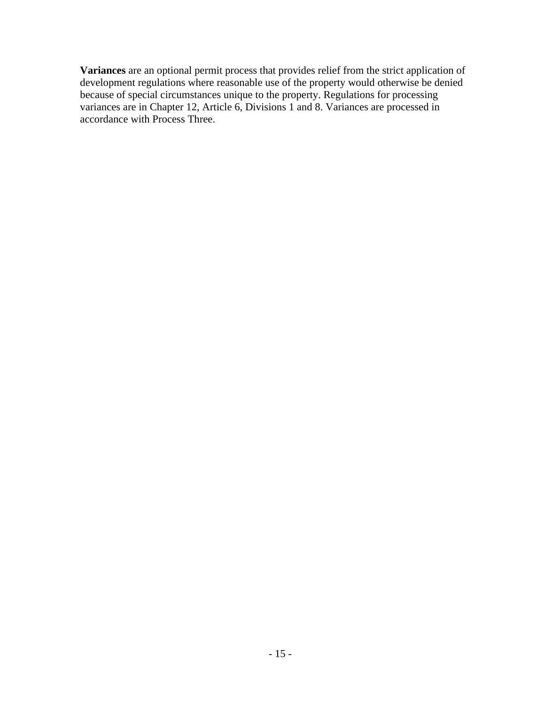**Variances** are an optional permit process that provides relief from the strict application of development regulations where reasonable use of the property would otherwise be denied because of special circumstances unique to the property. Regulations for processing variances are in Chapter 12, Article 6, Divisions 1 and 8. Variances are processed in accordance with Process Three.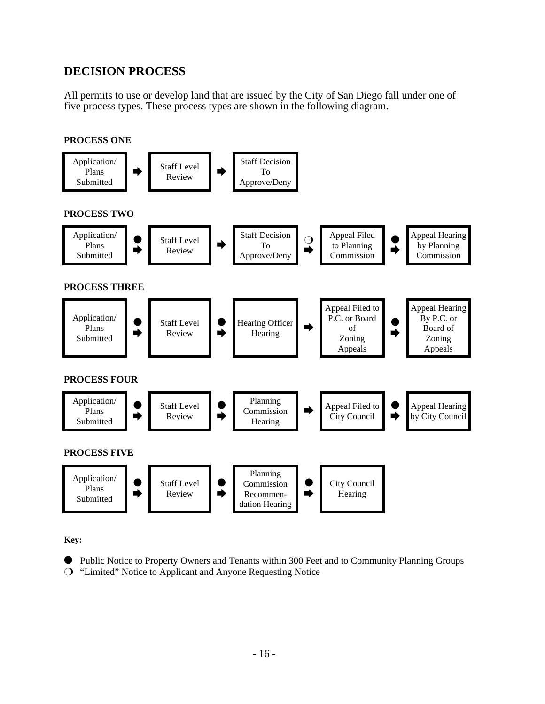#### **DECISION PROCESS**

All permits to use or develop land that are issued by the City of San Diego fall under one of five process types. These process types are shown in the following diagram.



**Key:** 

- Public Notice to Property Owners and Tenants within 300 Feet and to Community Planning Groups
- O "Limited" Notice to Applicant and Anyone Requesting Notice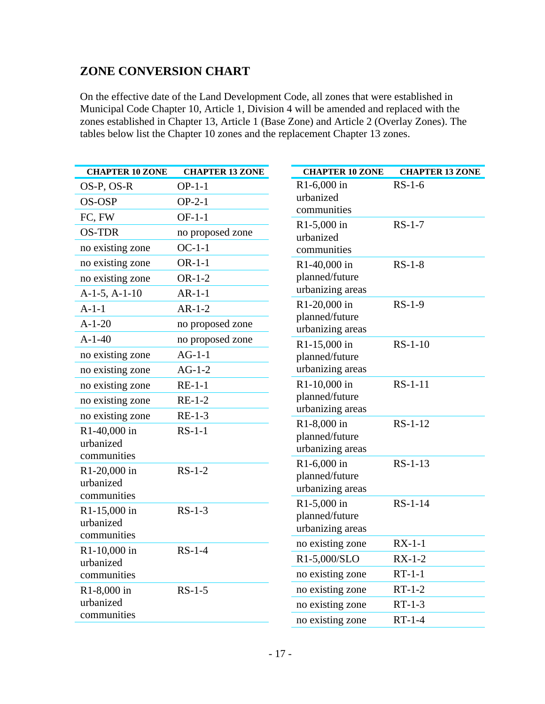#### **ZONE CONVERSION CHART**

On the effective date of the Land Development Code, all zones that were established in Municipal Code Chapter 10, Article 1, Division 4 will be amended and replaced with the zones established in Chapter 13, Article 1 (Base Zone) and Article 2 (Overlay Zones). The tables below list the Chapter 10 zones and the replacement Chapter 13 zones.

| <b>CHAPTER 10 ZONE</b>   | <b>CHAPTER 13 ZONE</b> | <b>CHAPTER 10 ZONE</b>          | <b>CHAPTER 13 ZONE</b> |  |
|--------------------------|------------------------|---------------------------------|------------------------|--|
| OS-P, OS-R               | $OP-1-1$               | R1-6,000 in                     | $RS-1-6$               |  |
| OS-OSP                   | $OP-2-1$               | urbanized<br>communities        |                        |  |
| FC, FW                   | $OF-1-1$               | R <sub>1</sub> -5,000 in        | $RS-1-7$               |  |
| <b>OS-TDR</b>            | no proposed zone       | urbanized                       |                        |  |
| no existing zone         | $OC-1-1$               | communities                     |                        |  |
| no existing zone         | $OR-1-1$               | R1-40,000 in                    | $RS-1-8$               |  |
| no existing zone         | $OR-1-2$               | planned/future                  |                        |  |
| $A-1-5, A-1-10$          | $AR-1-1$               | urbanizing areas                |                        |  |
| $A-1-1$                  | $AR-1-2$               | R1-20,000 in<br>planned/future  | $RS-1-9$               |  |
| $A-1-20$                 | no proposed zone       | urbanizing areas                |                        |  |
| $A-1-40$                 | no proposed zone       | R1-15,000 in                    | $RS-1-10$              |  |
| no existing zone         | $AG-1-1$               | planned/future                  |                        |  |
| no existing zone         | $AG-1-2$               | urbanizing areas                |                        |  |
| no existing zone         | $RE-1-1$               | R1-10,000 in                    | $RS-1-11$              |  |
| no existing zone         | $RE-1-2$               | planned/future                  |                        |  |
| no existing zone         | $RE-1-3$               | urbanizing areas<br>R1-8,000 in | $RS-1-12$              |  |
| R1-40,000 in             | $RS-1-1$               | planned/future                  |                        |  |
| urbanized<br>communities |                        | urbanizing areas                |                        |  |
| R1-20,000 in             | $RS-1-2$               | R1-6,000 in                     | $RS-1-13$              |  |
| urbanized                |                        | planned/future                  |                        |  |
| communities              |                        | urbanizing areas<br>R1-5,000 in | $RS-1-14$              |  |
| R1-15,000 in             | $RS-1-3$               | planned/future                  |                        |  |
| urbanized<br>communities |                        | urbanizing areas                |                        |  |
| R1-10,000 in             | $RS-1-4$               | no existing zone                | $RX-1-1$               |  |
| urbanized                |                        | R1-5,000/SLO                    | $RX-1-2$               |  |
| communities              |                        | no existing zone                | $RT-1-1$               |  |
| R1-8,000 in              | $RS-1-5$               | no existing zone                | $RT-1-2$               |  |
| urbanized                |                        | no existing zone                | $RT-1-3$               |  |
| communities              |                        | no existing zone                | $RT-1-4$               |  |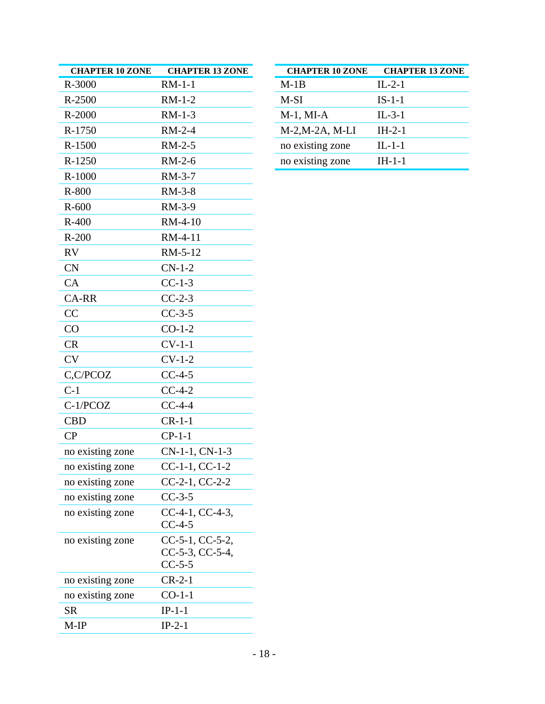| <b>CHAPTER 10 ZONE</b> | <b>CHAPTER 13 ZONE</b> | <b>CHAPTER 10 ZONE</b> | <b>CHAPTER 13 ZONE</b> |
|------------------------|------------------------|------------------------|------------------------|
| R-3000                 | $RM-1-1$               | $M-1B$                 | $IL-2-1$               |
| R-2500                 | $RM-1-2$               | $M-SI$                 | $IS-1-1$               |
| R-2000                 | $RM-1-3$               | $M-1$ , $MI-A$         | $IL-3-1$               |
| R-1750                 | $RM-2-4$               | $M-2,M-2A, M-LI$       | $IH-2-1$               |
| R-1500                 | $RM-2-5$               | no existing zone       | $IL-1-1$               |
| R-1250                 | RM-2-6                 | no existing zone       | $IH-1-1$               |
| R-1000                 | RM-3-7                 |                        |                        |
| R-800                  | RM-3-8                 |                        |                        |
| $R-600$                | RM-3-9                 |                        |                        |
| $R-400$                | RM-4-10                |                        |                        |
| $R-200$                | RM-4-11                |                        |                        |
| <b>RV</b>              | RM-5-12                |                        |                        |
| CN                     | $CN-1-2$               |                        |                        |
| CA                     | $CC-1-3$               |                        |                        |
| CA-RR                  | $CC-2-3$               |                        |                        |
| CC                     | $CC-3-5$               |                        |                        |
| CO                     | $CO-1-2$               |                        |                        |
| CR                     | $CV-1-1$               |                        |                        |
| <b>CV</b>              | $CV-1-2$               |                        |                        |
| C,C/PCOZ               | $CC-4-5$               |                        |                        |
| $C-1$                  | $CC-4-2$               |                        |                        |
| $C-1/PCOZ$             | $CC-4-4$               |                        |                        |
| <b>CBD</b>             | $CR-1-1$               |                        |                        |
| CP                     | $CP-1-1$               |                        |                        |
| no existing zone       | CN-1-1, CN-1-3         |                        |                        |
| no existing zone       | $CC-1-1$ , $CC-1-2$    |                        |                        |
| no existing zone       | CC-2-1, CC-2-2         |                        |                        |
| no existing zone       | $CC-3-5$               |                        |                        |
| no existing zone       | CC-4-1, CC-4-3,        |                        |                        |
|                        | $CC-4-5$               |                        |                        |
| no existing zone       | CC-5-1, CC-5-2,        |                        |                        |
|                        | CC-5-3, CC-5-4,        |                        |                        |
|                        | $CC-5-5$               |                        |                        |
| no existing zone       | $CR-2-1$               |                        |                        |
| no existing zone       | $CO-1-1$               |                        |                        |
| <b>SR</b>              | $IP-1-1$               |                        |                        |
| $M-IP$                 | $IP-2-1$               |                        |                        |

| <b>CHAPTER 10 ZONE</b> | <b>CHAPTER 13 ZONE</b> |
|------------------------|------------------------|
| $M-1B$                 | $IL-2-1$               |
| M-SI                   | $IS-1-1$               |
| $M-1$ , $MI-A$         | $IL-3-1$               |
| $M-2,M-2A, M-LI$       | $IH-2-1$               |
| no existing zone       | $IL-1-1$               |
| no existing zone       | $IH-1-1$               |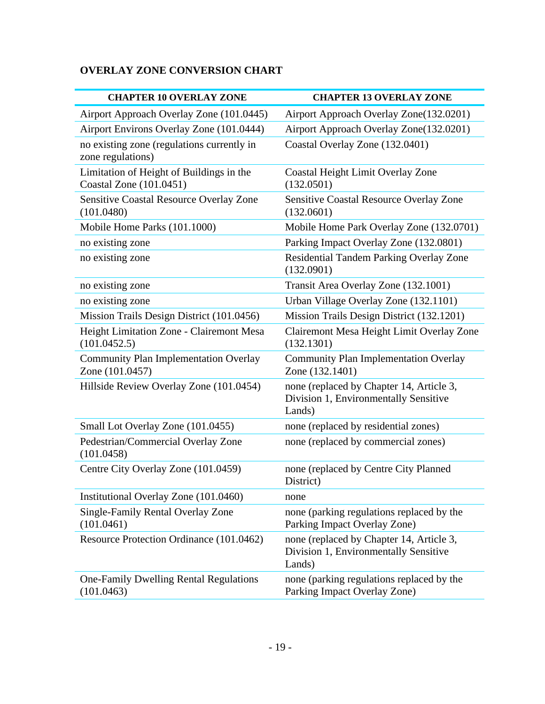#### **OVERLAY ZONE CONVERSION CHART**

| <b>CHAPTER 10 OVERLAY ZONE</b>                                      | <b>CHAPTER 13 OVERLAY ZONE</b>                                                              |
|---------------------------------------------------------------------|---------------------------------------------------------------------------------------------|
| Airport Approach Overlay Zone (101.0445)                            | Airport Approach Overlay Zone(132.0201)                                                     |
| Airport Environs Overlay Zone (101.0444)                            | Airport Approach Overlay Zone(132.0201)                                                     |
| no existing zone (regulations currently in<br>zone regulations)     | Coastal Overlay Zone (132.0401)                                                             |
| Limitation of Height of Buildings in the<br>Coastal Zone (101.0451) | Coastal Height Limit Overlay Zone<br>(132.0501)                                             |
| <b>Sensitive Coastal Resource Overlay Zone</b><br>(101.0480)        | Sensitive Coastal Resource Overlay Zone<br>(132.0601)                                       |
| Mobile Home Parks (101.1000)                                        | Mobile Home Park Overlay Zone (132.0701)                                                    |
| no existing zone                                                    | Parking Impact Overlay Zone (132.0801)                                                      |
| no existing zone                                                    | <b>Residential Tandem Parking Overlay Zone</b><br>(132.0901)                                |
| no existing zone                                                    | Transit Area Overlay Zone (132.1001)                                                        |
| no existing zone                                                    | Urban Village Overlay Zone (132.1101)                                                       |
| Mission Trails Design District (101.0456)                           | Mission Trails Design District (132.1201)                                                   |
| Height Limitation Zone - Clairemont Mesa<br>(101.0452.5)            | Clairemont Mesa Height Limit Overlay Zone<br>(132.1301)                                     |
| <b>Community Plan Implementation Overlay</b><br>Zone (101.0457)     | <b>Community Plan Implementation Overlay</b><br>Zone (132.1401)                             |
| Hillside Review Overlay Zone (101.0454)                             | none (replaced by Chapter 14, Article 3,<br>Division 1, Environmentally Sensitive<br>Lands) |
| Small Lot Overlay Zone (101.0455)                                   | none (replaced by residential zones)                                                        |
| Pedestrian/Commercial Overlay Zone<br>(101.0458)                    | none (replaced by commercial zones)                                                         |
| Centre City Overlay Zone (101.0459)                                 | none (replaced by Centre City Planned<br>District)                                          |
| Institutional Overlay Zone (101.0460)                               | none                                                                                        |
| Single-Family Rental Overlay Zone<br>(101.0461)                     | none (parking regulations replaced by the<br>Parking Impact Overlay Zone)                   |
| Resource Protection Ordinance (101.0462)                            | none (replaced by Chapter 14, Article 3,<br>Division 1, Environmentally Sensitive<br>Lands) |
| <b>One-Family Dwelling Rental Regulations</b><br>(101.0463)         | none (parking regulations replaced by the<br>Parking Impact Overlay Zone)                   |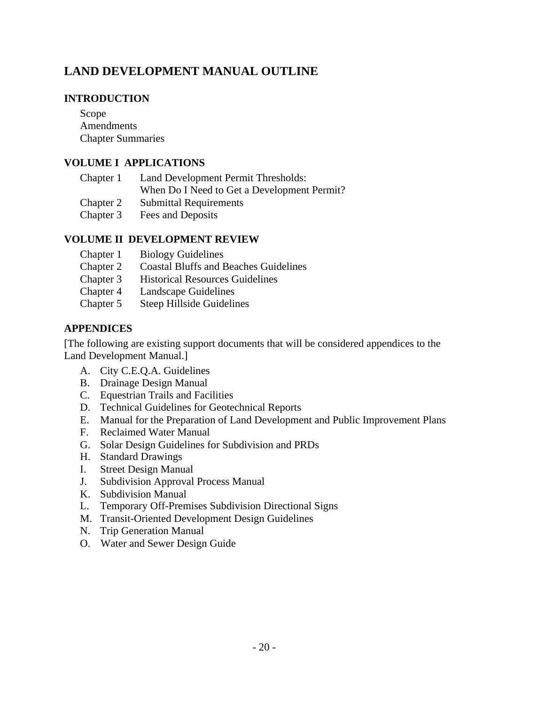### **LAND DEVELOPMENT MANUAL OUTLINE**

#### **INTRODUCTION**

Scope Amendments Scope<br>Amendments<br>Chapter Summaries

#### **VOLUME I APPLICATIONS**

| Chapter 1 | Land Development Permit Thresholds:<br>When Do I Need to Get a Development Permit? |
|-----------|------------------------------------------------------------------------------------|
| Chapter 2 | <b>Submittal Requirements</b>                                                      |
| Chapter 3 | Fees and Deposits                                                                  |
|           |                                                                                    |

#### **VOLUME II DEVELOPMENT REVIEW**

| Chapter 1 | <b>Biology Guidelines</b> |  |
|-----------|---------------------------|--|
|-----------|---------------------------|--|

- Chapter 1 Biology Guidelines<br>Chapter 2 Coastal Bluffs and Beaches Guidelines<br>Chapter 4 Landscape Guidelines<br>Chapter 5 Steep Hillside Guidelines
- **Historical Resources Guidelines**
- **Landscape Guidelines**
- **Steep Hillside Guidelines**

#### **APPENDICES**

[The following are existing support documents that will be considered appendices to the Land Development Manual.]

- A. City C.E.Q.A. Guidelines
- B. Drainage Design Manual
- C. Equestrian Trails and Facilities
- D. Technical Guidelines for Geotechnical Reports
- E. Manual for the Preparation of Land Development and Public Improvement Plans
- F. Reclaimed Water Manual
- G. Solar Design Guidelines for Subdivision and PRDs
- H. Standard Drawings
- I. Street Design Manual
- J. Subdivision Approval Process Manual
- K. Subdivision Manual
- L. Temporary Off-Premises Subdivision Directional Signs
- M. Transit-Oriented Development Design Guidelines
- N. Trip Generation Manual
- O. Water and Sewer Design Guide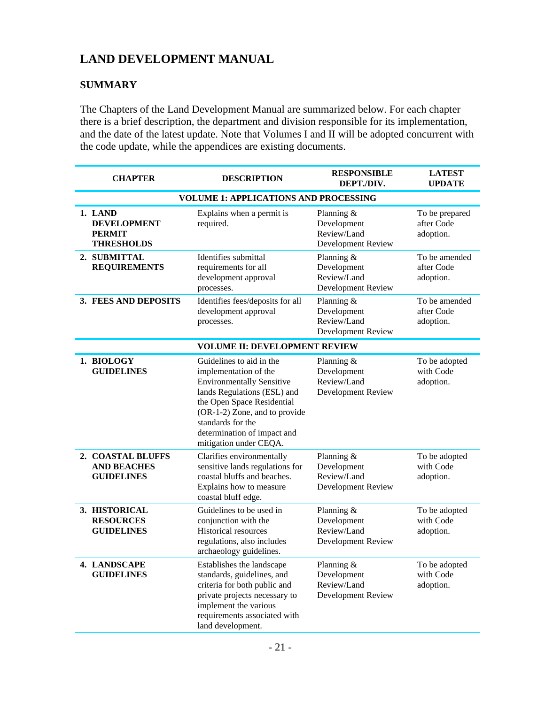#### **LAND DEVELOPMENT MANUAL**

#### **SUMMARY**

The Chapters of the Land Development Manual are summarized below. For each chapter there is a brief description, the department and division responsible for its implementation, and the date of the latest update. Note that Volumes I and II will be adopted concurrent with the code update, while the appendices are existing documents.

| <b>CHAPTER</b>                                                      | <b>DESCRIPTION</b>                                                                                                                                                                                                                                                | <b>RESPONSIBLE</b><br>DEPT./DIV.                               | <b>LATEST</b><br><b>UPDATE</b>            |  |  |
|---------------------------------------------------------------------|-------------------------------------------------------------------------------------------------------------------------------------------------------------------------------------------------------------------------------------------------------------------|----------------------------------------------------------------|-------------------------------------------|--|--|
|                                                                     | <b>VOLUME 1: APPLICATIONS AND PROCESSING</b>                                                                                                                                                                                                                      |                                                                |                                           |  |  |
| 1. LAND<br><b>DEVELOPMENT</b><br><b>PERMIT</b><br><b>THRESHOLDS</b> | Explains when a permit is<br>required.                                                                                                                                                                                                                            | Planning &<br>Development<br>Review/Land<br>Development Review | To be prepared<br>after Code<br>adoption. |  |  |
| 2. SUBMITTAL<br><b>REQUIREMENTS</b>                                 | Identifies submittal<br>requirements for all<br>development approval<br>processes.                                                                                                                                                                                | Planning &<br>Development<br>Review/Land<br>Development Review | To be amended<br>after Code<br>adoption.  |  |  |
| 3. FEES AND DEPOSITS                                                | Identifies fees/deposits for all<br>development approval<br>processes.                                                                                                                                                                                            | Planning &<br>Development<br>Review/Land<br>Development Review | To be amended<br>after Code<br>adoption.  |  |  |
|                                                                     | <b>VOLUME II: DEVELOPMENT REVIEW</b>                                                                                                                                                                                                                              |                                                                |                                           |  |  |
| 1. BIOLOGY<br><b>GUIDELINES</b>                                     | Guidelines to aid in the<br>implementation of the<br><b>Environmentally Sensitive</b><br>lands Regulations (ESL) and<br>the Open Space Residential<br>(OR-1-2) Zone, and to provide<br>standards for the<br>determination of impact and<br>mitigation under CEQA. | Planning &<br>Development<br>Review/Land<br>Development Review | To be adopted<br>with Code<br>adoption.   |  |  |
| 2. COASTAL BLUFFS<br><b>AND BEACHES</b><br><b>GUIDELINES</b>        | Clarifies environmentally<br>sensitive lands regulations for<br>coastal bluffs and beaches.<br>Explains how to measure<br>coastal bluff edge.                                                                                                                     | Planning &<br>Development<br>Review/Land<br>Development Review | To be adopted<br>with Code<br>adoption.   |  |  |
| 3. HISTORICAL<br><b>RESOURCES</b><br><b>GUIDELINES</b>              | Guidelines to be used in<br>conjunction with the<br>Historical resources<br>regulations, also includes<br>archaeology guidelines.                                                                                                                                 | Planning &<br>Development<br>Review/Land<br>Development Review | To be adopted<br>with Code<br>adoption.   |  |  |
| 4. LANDSCAPE<br><b>GUIDELINES</b>                                   | Establishes the landscape<br>standards, guidelines, and<br>criteria for both public and<br>private projects necessary to<br>implement the various<br>requirements associated with<br>land development.                                                            | Planning &<br>Development<br>Review/Land<br>Development Review | To be adopted<br>with Code<br>adoption.   |  |  |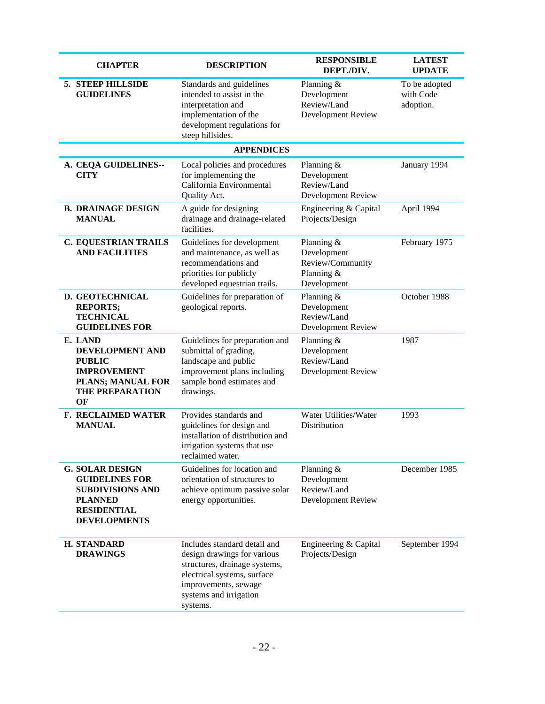| <b>CHAPTER</b>                                                                                                                            | <b>DESCRIPTION</b>                                                                                                                                                                        | <b>RESPONSIBLE</b><br>DEPT./DIV.                                           | <b>LATEST</b><br><b>UPDATE</b>          |
|-------------------------------------------------------------------------------------------------------------------------------------------|-------------------------------------------------------------------------------------------------------------------------------------------------------------------------------------------|----------------------------------------------------------------------------|-----------------------------------------|
| 5. STEEP HILLSIDE<br><b>GUIDELINES</b>                                                                                                    | Standards and guidelines<br>intended to assist in the<br>interpretation and<br>implementation of the<br>development regulations for<br>steep hillsides.                                   | Planning &<br>Development<br>Review/Land<br>Development Review             | To be adopted<br>with Code<br>adoption. |
|                                                                                                                                           | <b>APPENDICES</b>                                                                                                                                                                         |                                                                            |                                         |
| A. CEQA GUIDELINES--<br><b>CITY</b>                                                                                                       | Local policies and procedures<br>for implementing the<br>California Environmental<br>Quality Act.                                                                                         | Planning &<br>Development<br>Review/Land<br>Development Review             | January 1994                            |
| <b>B. DRAINAGE DESIGN</b><br><b>MANUAL</b>                                                                                                | A guide for designing<br>drainage and drainage-related<br>facilities.                                                                                                                     | Engineering & Capital<br>Projects/Design                                   | April 1994                              |
| <b>C. EQUESTRIAN TRAILS</b><br><b>AND FACILITIES</b>                                                                                      | Guidelines for development<br>and maintenance, as well as<br>recommendations and<br>priorities for publicly<br>developed equestrian trails.                                               | Planning &<br>Development<br>Review/Community<br>Planning &<br>Development | February 1975                           |
| D. GEOTECHNICAL<br><b>REPORTS;</b><br><b>TECHNICAL</b><br><b>GUIDELINES FOR</b>                                                           | Guidelines for preparation of<br>geological reports.                                                                                                                                      | Planning &<br>Development<br>Review/Land<br>Development Review             | October 1988                            |
| E. LAND<br>DEVELOPMENT AND<br><b>PUBLIC</b><br><b>IMPROVEMENT</b><br>PLANS; MANUAL FOR<br><b>THE PREPARATION</b><br>OF                    | Guidelines for preparation and<br>submittal of grading,<br>landscape and public<br>improvement plans including<br>sample bond estimates and<br>drawings.                                  | Planning &<br>Development<br>Review/Land<br>Development Review             | 1987                                    |
| <b>F. RECLAIMED WATER</b><br><b>MANUAL</b>                                                                                                | Provides standards and<br>guidelines for design and<br>installation of distribution and<br>irrigation systems that use<br>reclaimed water.                                                | Water Utilities/Water<br><b>Distribution</b>                               | 1993                                    |
| <b>G. SOLAR DESIGN</b><br><b>GUIDELINES FOR</b><br><b>SUBDIVISIONS AND</b><br><b>PLANNED</b><br><b>RESIDENTIAL</b><br><b>DEVELOPMENTS</b> | Guidelines for location and<br>orientation of structures to<br>achieve optimum passive solar<br>energy opportunities.                                                                     | Planning &<br>Development<br>Review/Land<br>Development Review             | December 1985                           |
| <b>H. STANDARD</b><br><b>DRAWINGS</b>                                                                                                     | Includes standard detail and<br>design drawings for various<br>structures, drainage systems,<br>electrical systems, surface<br>improvements, sewage<br>systems and irrigation<br>systems. | Engineering & Capital<br>Projects/Design                                   | September 1994                          |